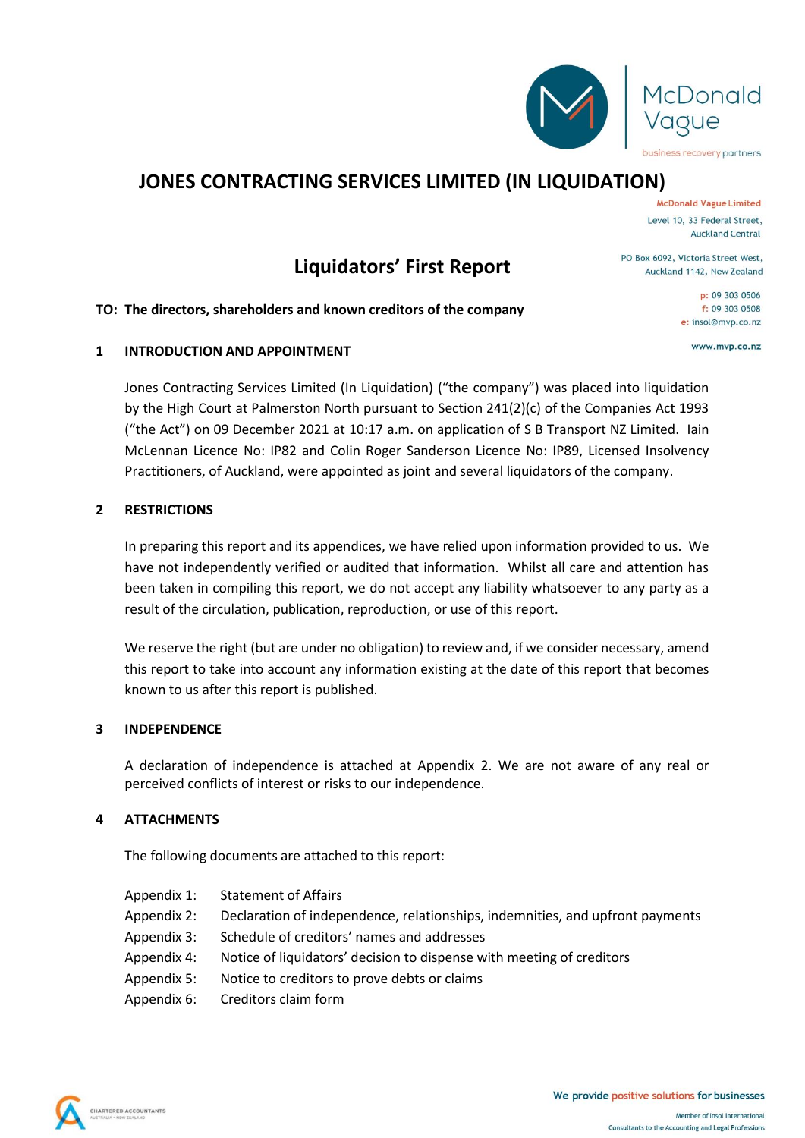

## **JONES CONTRACTING SERVICES LIMITED (IN LIQUIDATION)**

**Auckland Central** 

business recovery partners

## **Liquidators' First Report**

### **TO: The directors, shareholders and known creditors of the company**

### **1 INTRODUCTION AND APPOINTMENT**

Jones Contracting Services Limited (In Liquidation) ("the company") was placed into liquidation by the High Court at Palmerston North pursuant to Section 241(2)(c) of the Companies Act 1993 ("the Act") on 09 December 2021 at 10:17 a.m. on application of S B Transport NZ Limited. Iain McLennan Licence No: IP82 and Colin Roger Sanderson Licence No: IP89, Licensed Insolvency Practitioners, of Auckland, were appointed as joint and several liquidators of the company.

### **2 RESTRICTIONS**

In preparing this report and its appendices, we have relied upon information provided to us. We have not independently verified or audited that information. Whilst all care and attention has been taken in compiling this report, we do not accept any liability whatsoever to any party as a result of the circulation, publication, reproduction, or use of this report.

We reserve the right (but are under no obligation) to review and, if we consider necessary, amend this report to take into account any information existing at the date of this report that becomes known to us after this report is published.

#### **3 INDEPENDENCE**

A declaration of independence is attached at Appendix 2. We are not aware of any real or perceived conflicts of interest or risks to our independence.

### **4 ATTACHMENTS**

The following documents are attached to this report:

- Appendix 1: Statement of Affairs
- Appendix 2: Declaration of independence, relationships, indemnities, and upfront payments
- Appendix 3: Schedule of creditors' names and addresses
- Appendix 4: Notice of liquidators' decision to dispense with meeting of creditors
- Appendix 5: Notice to creditors to prove debts or claims
- Appendix 6: Creditors claim form





**McDonald Vague Limited** Level 10, 33 Federal Street,

PO Box 6092, Victoria Street West. Auckland 1142, New Zealand

> p: 09 303 0506  $f: 09, 303, 0508$ e: insol@mvp.co.nz

> > www.mvp.co.nz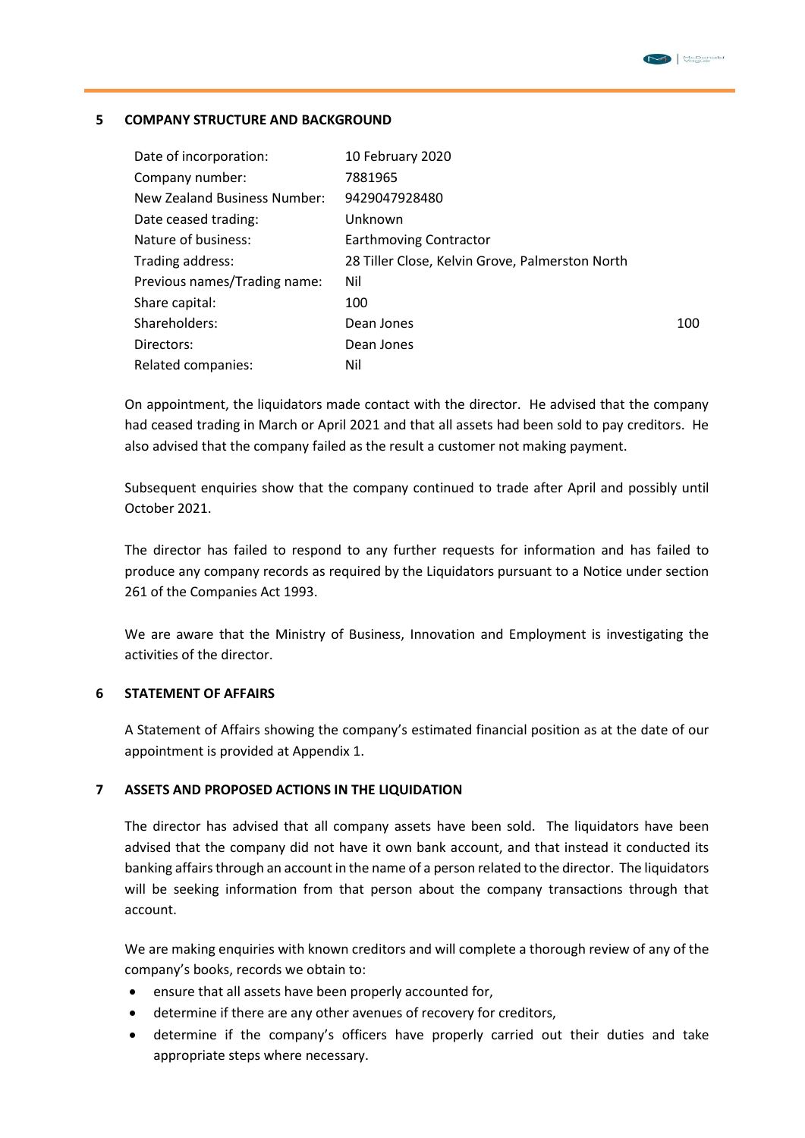#### **5 COMPANY STRUCTURE AND BACKGROUND**

| Date of incorporation:       | 10 February 2020                                |     |
|------------------------------|-------------------------------------------------|-----|
| Company number:              | 7881965                                         |     |
| New Zealand Business Number: | 9429047928480                                   |     |
| Date ceased trading:         | Unknown                                         |     |
| Nature of business:          | <b>Earthmoving Contractor</b>                   |     |
| Trading address:             | 28 Tiller Close, Kelvin Grove, Palmerston North |     |
| Previous names/Trading name: | Nil                                             |     |
| Share capital:               | 100                                             |     |
| Shareholders:                | Dean Jones                                      | 100 |
| Directors:                   | Dean Jones                                      |     |
| Related companies:           | Nil                                             |     |

On appointment, the liquidators made contact with the director. He advised that the company had ceased trading in March or April 2021 and that all assets had been sold to pay creditors. He also advised that the company failed as the result a customer not making payment.

Subsequent enquiries show that the company continued to trade after April and possibly until October 2021.

The director has failed to respond to any further requests for information and has failed to produce any company records as required by the Liquidators pursuant to a Notice under section 261 of the Companies Act 1993.

We are aware that the Ministry of Business, Innovation and Employment is investigating the activities of the director.

#### **6 STATEMENT OF AFFAIRS**

A Statement of Affairs showing the company's estimated financial position as at the date of our appointment is provided at Appendix 1.

#### **7 ASSETS AND PROPOSED ACTIONS IN THE LIQUIDATION**

The director has advised that all company assets have been sold. The liquidators have been advised that the company did not have it own bank account, and that instead it conducted its banking affairs through an account in the name of a person related to the director. The liquidators will be seeking information from that person about the company transactions through that account.

We are making enquiries with known creditors and will complete a thorough review of any of the company's books, records we obtain to:

- ensure that all assets have been properly accounted for,
- determine if there are any other avenues of recovery for creditors,
- determine if the company's officers have properly carried out their duties and take appropriate steps where necessary.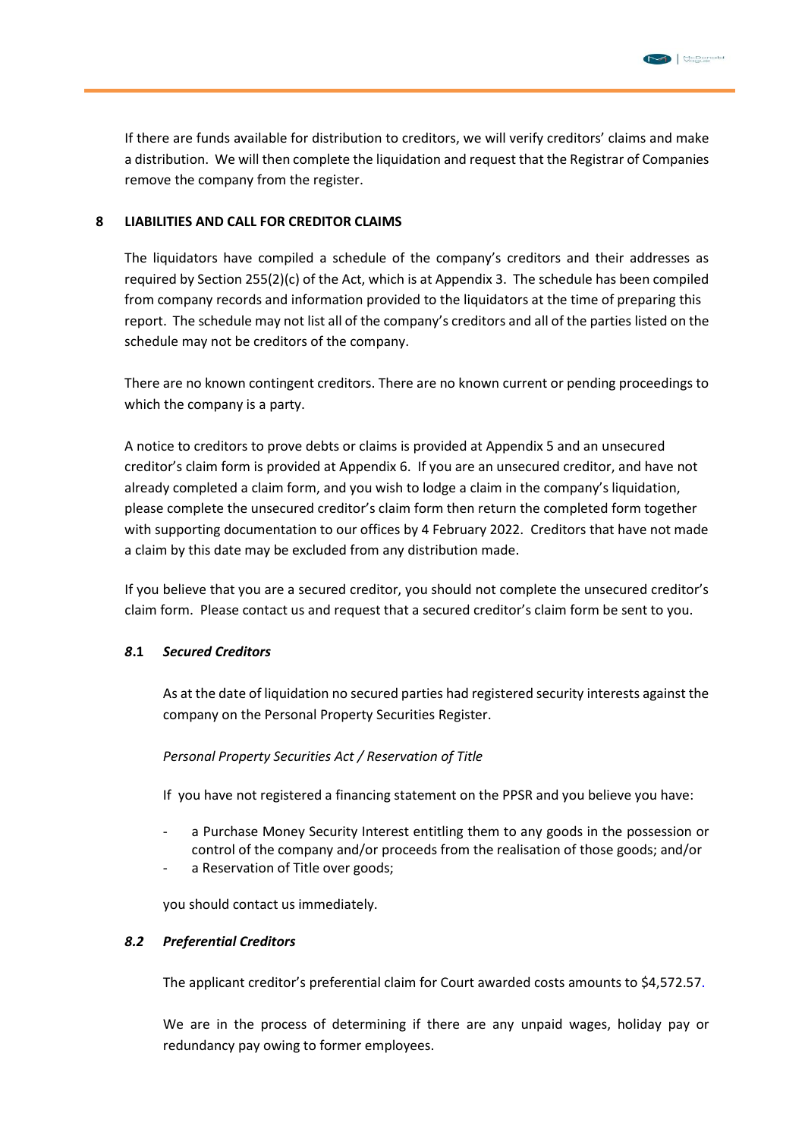

If there are funds available for distribution to creditors, we will verify creditors' claims and make a distribution. We will then complete the liquidation and request that the Registrar of Companies remove the company from the register.

#### **8 LIABILITIES AND CALL FOR CREDITOR CLAIMS**

The liquidators have compiled a schedule of the company's creditors and their addresses as required by Section 255(2)(c) of the Act, which is at Appendix 3. The schedule has been compiled from company records and information provided to the liquidators at the time of preparing this report. The schedule may not list all of the company's creditors and all of the parties listed on the schedule may not be creditors of the company.

There are no known contingent creditors. There are no known current or pending proceedings to which the company is a party.

A notice to creditors to prove debts or claims is provided at Appendix 5 and an unsecured creditor's claim form is provided at Appendix 6. If you are an unsecured creditor, and have not already completed a claim form, and you wish to lodge a claim in the company's liquidation, please complete the unsecured creditor's claim form then return the completed form together with supporting documentation to our offices by 4 February 2022. Creditors that have not made a claim by this date may be excluded from any distribution made.

If you believe that you are a secured creditor, you should not complete the unsecured creditor's claim form. Please contact us and request that a secured creditor's claim form be sent to you.

#### *8***.1** *Secured Creditors*

As at the date of liquidation no secured parties had registered security interests against the company on the Personal Property Securities Register.

#### *Personal Property Securities Act / Reservation of Title*

If you have not registered a financing statement on the PPSR and you believe you have:

- a Purchase Money Security Interest entitling them to any goods in the possession or control of the company and/or proceeds from the realisation of those goods; and/or
- a Reservation of Title over goods;

you should contact us immediately.

#### *8.2 Preferential Creditors*

The applicant creditor's preferential claim for Court awarded costs amounts to \$4,572.57.

We are in the process of determining if there are any unpaid wages, holiday pay or redundancy pay owing to former employees.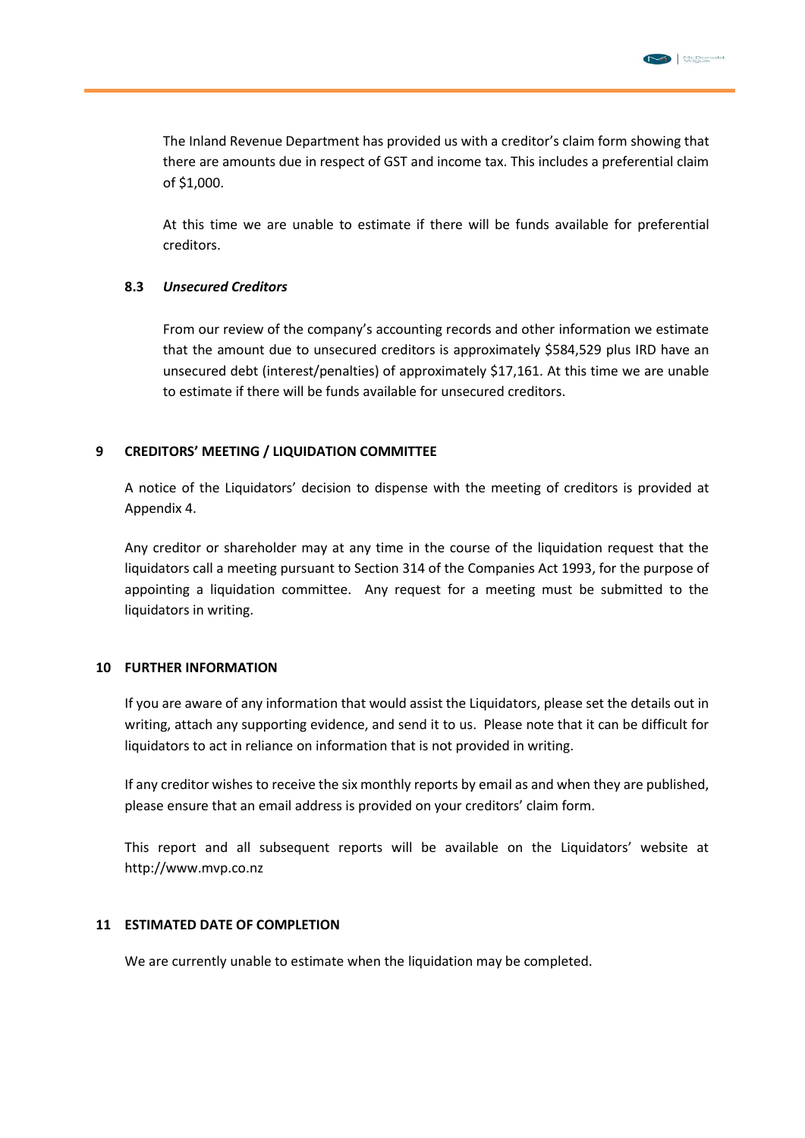The Inland Revenue Department has provided us with a creditor's claim form showing that there are amounts due in respect of GST and income tax. This includes a preferential claim of \$1,000.

At this time we are unable to estimate if there will be funds available for preferential creditors.

#### **8.3** *Unsecured Creditors*

From our review of the company's accounting records and other information we estimate that the amount due to unsecured creditors is approximately \$584,529 plus IRD have an unsecured debt (interest/penalties) of approximately \$17,161. At this time we are unable to estimate if there will be funds available for unsecured creditors.

#### **9 CREDITORS' MEETING / LIQUIDATION COMMITTEE**

A notice of the Liquidators' decision to dispense with the meeting of creditors is provided at Appendix 4.

Any creditor or shareholder may at any time in the course of the liquidation request that the liquidators call a meeting pursuant to Section 314 of the Companies Act 1993, for the purpose of appointing a liquidation committee. Any request for a meeting must be submitted to the liquidators in writing.

#### **10 FURTHER INFORMATION**

If you are aware of any information that would assist the Liquidators, please set the details out in writing, attach any supporting evidence, and send it to us. Please note that it can be difficult for liquidators to act in reliance on information that is not provided in writing.

If any creditor wishes to receive the six monthly reports by email as and when they are published, please ensure that an email address is provided on your creditors' claim form.

This report and all subsequent reports will be available on the Liquidators' website at http://www.mvp.co.nz

#### **11 ESTIMATED DATE OF COMPLETION**

We are currently unable to estimate when the liquidation may be completed.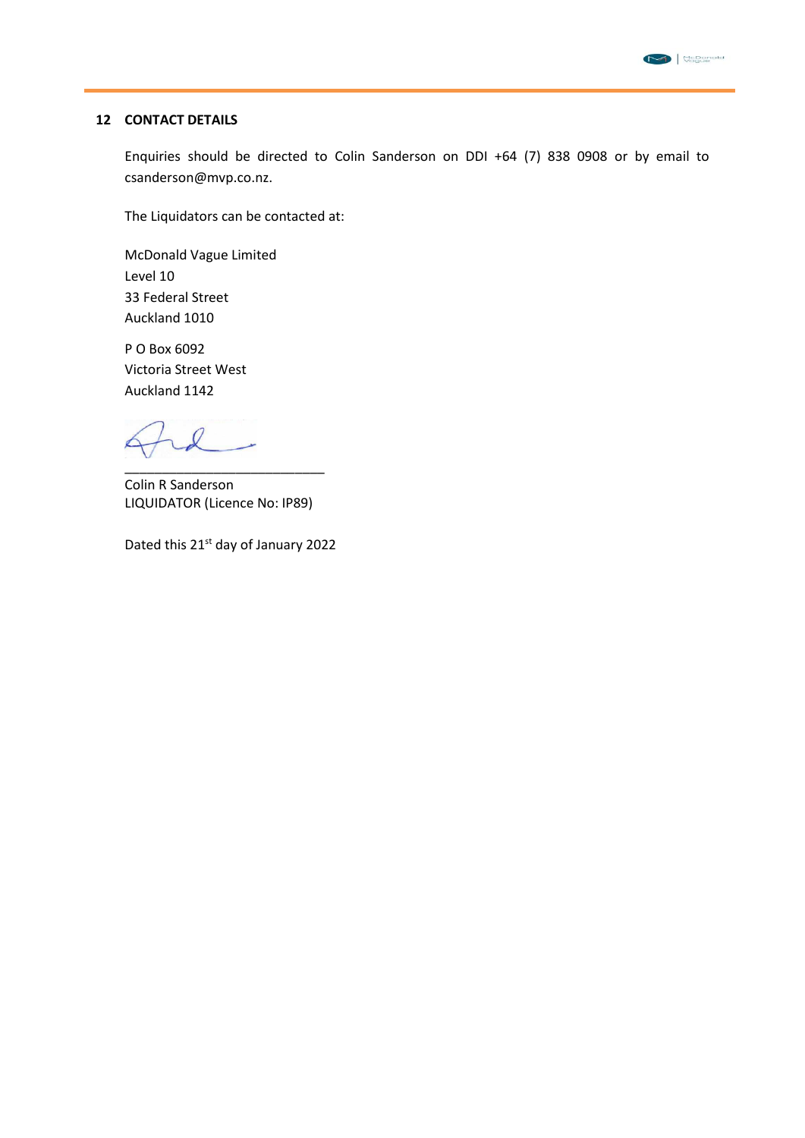

#### **12 CONTACT DETAILS**

Enquiries should be directed to Colin Sanderson on DDI +64 (7) 838 0908 or by email to csanderson@mvp.co.nz.

The Liquidators can be contacted at:

McDonald Vague Limited Level 10 33 Federal Street Auckland 1010

P O Box 6092 Victoria Street West Auckland 1142

\_\_\_\_\_\_\_\_\_\_\_\_\_\_\_\_\_\_\_\_\_\_\_\_\_\_\_

Colin R Sanderson LIQUIDATOR (Licence No: IP89)

Dated this 21<sup>st</sup> day of January 2022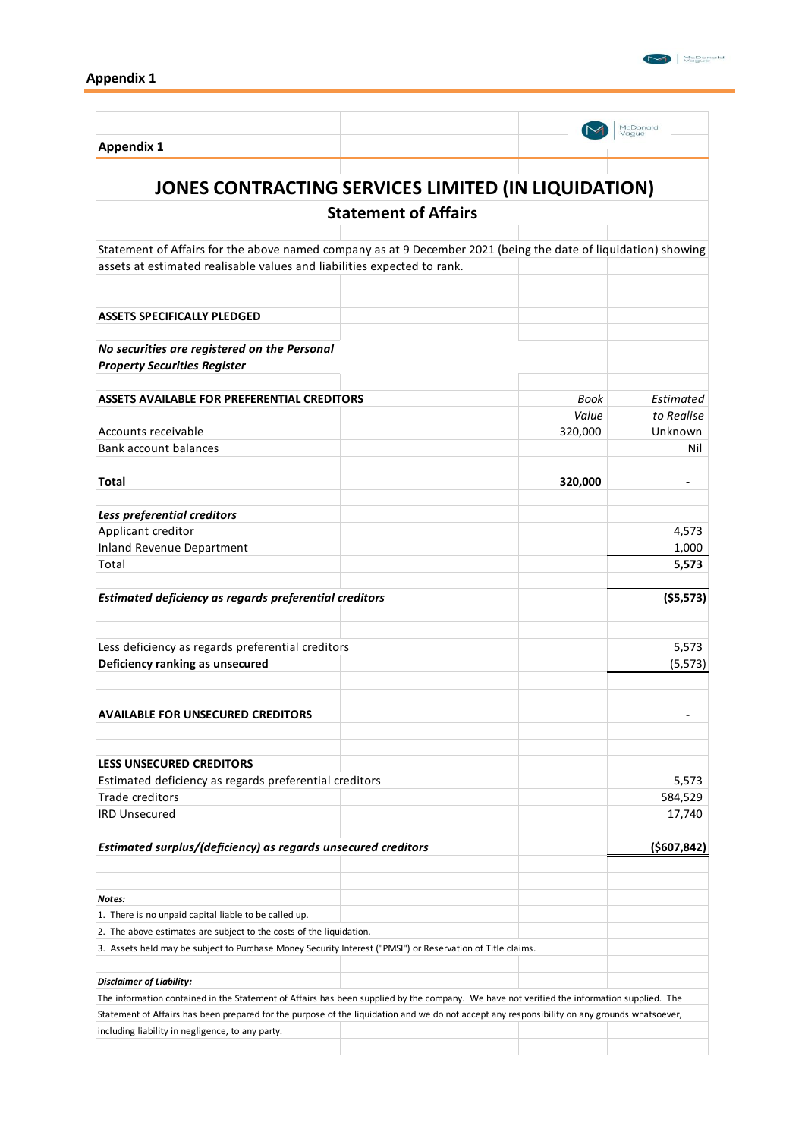### **Appendix 1**

|                                                                                                                                              |                             |               | McDonald                |
|----------------------------------------------------------------------------------------------------------------------------------------------|-----------------------------|---------------|-------------------------|
| <b>Appendix 1</b>                                                                                                                            |                             |               | 'aoue                   |
| <b>JONES CONTRACTING SERVICES LIMITED (IN LIQUIDATION)</b>                                                                                   |                             |               |                         |
|                                                                                                                                              |                             |               |                         |
|                                                                                                                                              | <b>Statement of Affairs</b> |               |                         |
| Statement of Affairs for the above named company as at 9 December 2021 (being the date of liquidation) showing                               |                             |               |                         |
| assets at estimated realisable values and liabilities expected to rank.                                                                      |                             |               |                         |
|                                                                                                                                              |                             |               |                         |
| <b>ASSETS SPECIFICALLY PLEDGED</b>                                                                                                           |                             |               |                         |
|                                                                                                                                              |                             |               |                         |
| No securities are registered on the Personal                                                                                                 |                             |               |                         |
| <b>Property Securities Register</b>                                                                                                          |                             |               |                         |
|                                                                                                                                              |                             |               |                         |
| <b>ASSETS AVAILABLE FOR PREFERENTIAL CREDITORS</b>                                                                                           |                             | Book<br>Value | Estimated<br>to Realise |
| Accounts receivable                                                                                                                          |                             | 320,000       | Unknown                 |
| <b>Bank account balances</b>                                                                                                                 |                             |               | Nil                     |
|                                                                                                                                              |                             |               |                         |
| <b>Total</b>                                                                                                                                 |                             | 320,000       |                         |
|                                                                                                                                              |                             |               |                         |
| Less preferential creditors                                                                                                                  |                             |               |                         |
| Applicant creditor                                                                                                                           |                             |               | 4,573                   |
| Inland Revenue Department                                                                                                                    |                             |               | 1,000                   |
| Total                                                                                                                                        |                             |               | 5,573                   |
| Estimated deficiency as regards preferential creditors                                                                                       |                             |               | (55, 573)               |
|                                                                                                                                              |                             |               |                         |
| Less deficiency as regards preferential creditors                                                                                            |                             |               | 5,573                   |
| Deficiency ranking as unsecured                                                                                                              |                             |               | (5, 573)                |
|                                                                                                                                              |                             |               |                         |
|                                                                                                                                              |                             |               |                         |
| <b>AVAILABLE FOR UNSECURED CREDITORS</b>                                                                                                     |                             |               |                         |
|                                                                                                                                              |                             |               |                         |
| <b>LESS UNSECURED CREDITORS</b>                                                                                                              |                             |               |                         |
| Estimated deficiency as regards preferential creditors                                                                                       |                             |               | 5,573                   |
| Trade creditors                                                                                                                              |                             |               | 584,529                 |
| <b>IRD Unsecured</b>                                                                                                                         |                             |               | 17,740                  |
|                                                                                                                                              |                             |               |                         |
| Estimated surplus/(deficiency) as regards unsecured creditors                                                                                |                             |               | ( \$607, 842)           |
|                                                                                                                                              |                             |               |                         |
| Notes:                                                                                                                                       |                             |               |                         |
| 1. There is no unpaid capital liable to be called up.                                                                                        |                             |               |                         |
| 2. The above estimates are subject to the costs of the liquidation.                                                                          |                             |               |                         |
| 3. Assets held may be subject to Purchase Money Security Interest ("PMSI") or Reservation of Title claims.                                   |                             |               |                         |
| <b>Disclaimer of Liability:</b>                                                                                                              |                             |               |                         |
| The information contained in the Statement of Affairs has been supplied by the company. We have not verified the information supplied. The   |                             |               |                         |
| Statement of Affairs has been prepared for the purpose of the liquidation and we do not accept any responsibility on any grounds whatsoever, |                             |               |                         |
| including liability in negligence, to any party.                                                                                             |                             |               |                         |
|                                                                                                                                              |                             |               |                         |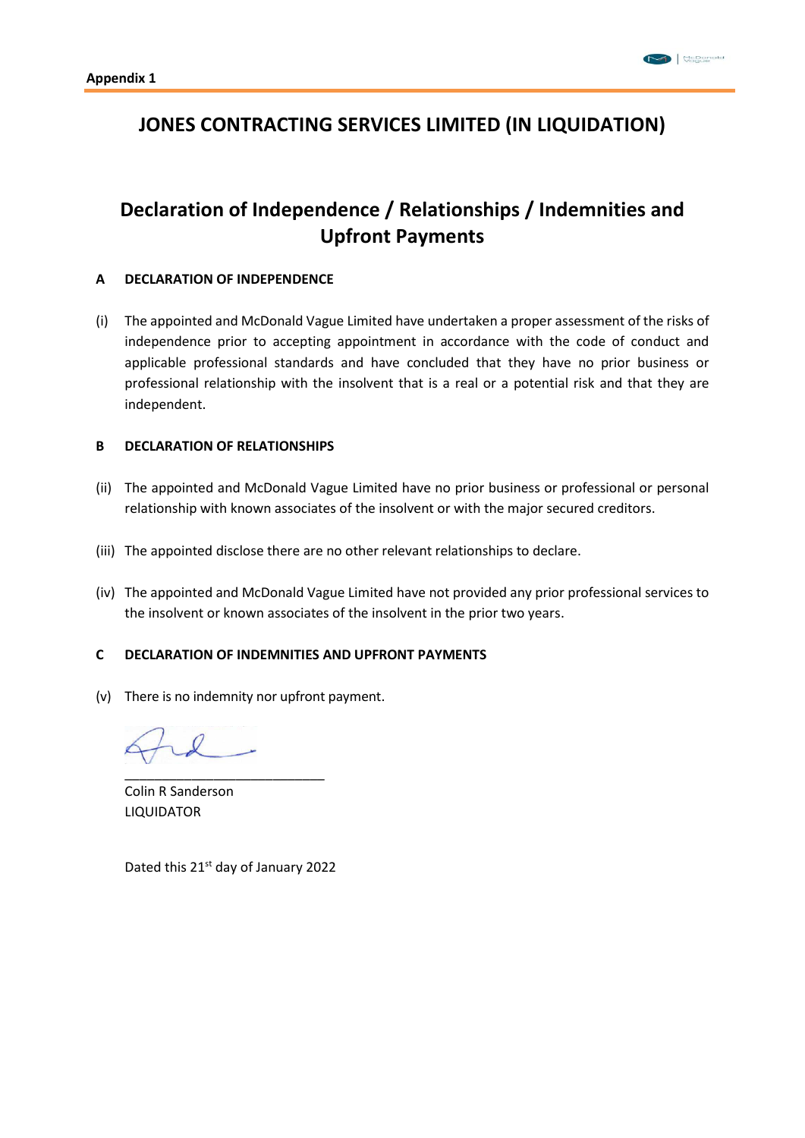## **JONES CONTRACTING SERVICES LIMITED (IN LIQUIDATION)**

## **Declaration of Independence / Relationships / Indemnities and Upfront Payments**

#### **A DECLARATION OF INDEPENDENCE**

(i) The appointed and McDonald Vague Limited have undertaken a proper assessment of the risks of independence prior to accepting appointment in accordance with the code of conduct and applicable professional standards and have concluded that they have no prior business or professional relationship with the insolvent that is a real or a potential risk and that they are independent.

#### **B DECLARATION OF RELATIONSHIPS**

- (ii) The appointed and McDonald Vague Limited have no prior business or professional or personal relationship with known associates of the insolvent or with the major secured creditors.
- (iii) The appointed disclose there are no other relevant relationships to declare.
- (iv) The appointed and McDonald Vague Limited have not provided any prior professional services to the insolvent or known associates of the insolvent in the prior two years.

#### **C DECLARATION OF INDEMNITIES AND UPFRONT PAYMENTS**

(v) There is no indemnity nor upfront payment.

\_\_\_\_\_\_\_\_\_\_\_\_\_\_\_\_\_\_\_\_\_\_\_\_\_\_\_

Colin R Sanderson LIQUIDATOR

Dated this 21<sup>st</sup> day of January 2022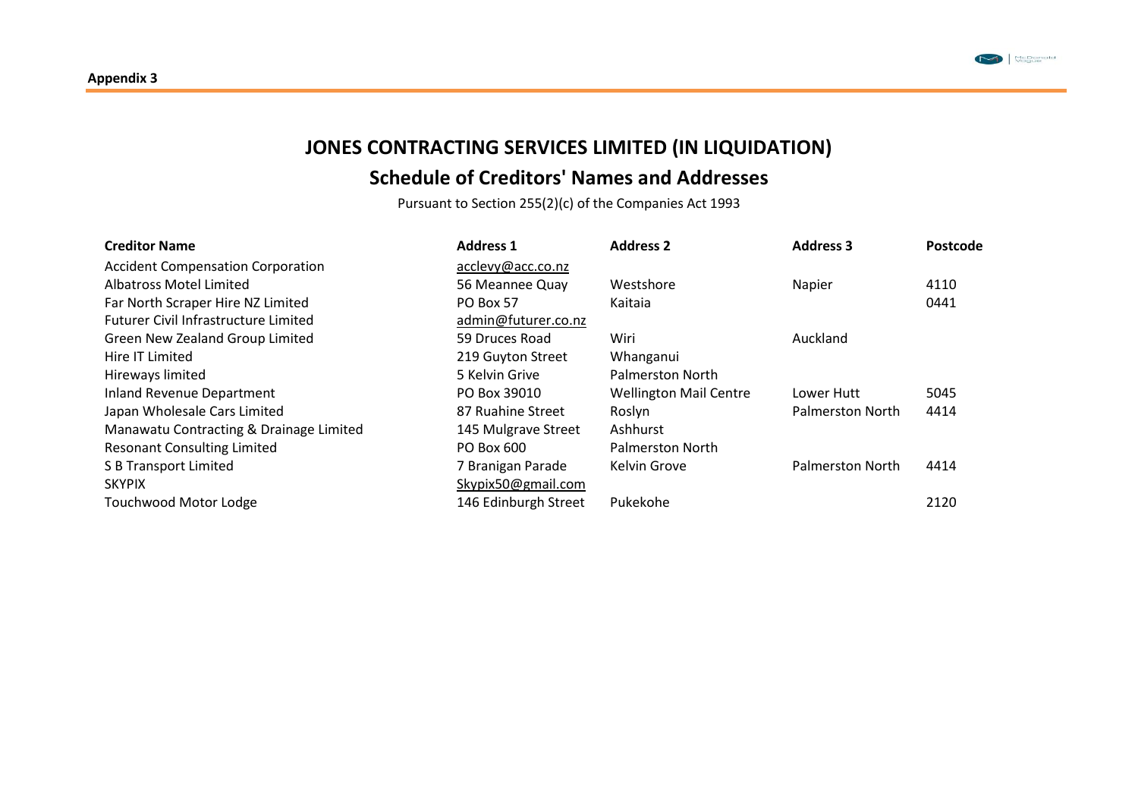

## **JONES CONTRACTING SERVICES LIMITED (IN LIQUIDATION)**

## **Schedule of Creditors' Names and Addresses**

Pursuant to Section 255(2)(c) of the Companies Act 1993

| <b>Creditor Name</b>                     | <b>Address 1</b>     | <b>Address 2</b>              | <b>Address 3</b>        | Postcode |
|------------------------------------------|----------------------|-------------------------------|-------------------------|----------|
| <b>Accident Compensation Corporation</b> | acclevy@acc.co.nz    |                               |                         |          |
| Albatross Motel Limited                  | 56 Meannee Quay      | Westshore                     | Napier                  | 4110     |
| Far North Scraper Hire NZ Limited        | PO Box 57            | Kaitaia                       |                         | 0441     |
| Futurer Civil Infrastructure Limited     | admin@futurer.co.nz  |                               |                         |          |
| Green New Zealand Group Limited          | 59 Druces Road       | Wiri                          | Auckland                |          |
| Hire IT Limited                          | 219 Guyton Street    | Whanganui                     |                         |          |
| Hireways limited                         | 5 Kelvin Grive       | <b>Palmerston North</b>       |                         |          |
| <b>Inland Revenue Department</b>         | PO Box 39010         | <b>Wellington Mail Centre</b> | Lower Hutt              | 5045     |
| Japan Wholesale Cars Limited             | 87 Ruahine Street    | Roslyn                        | <b>Palmerston North</b> | 4414     |
| Manawatu Contracting & Drainage Limited  | 145 Mulgrave Street  | Ashhurst                      |                         |          |
| <b>Resonant Consulting Limited</b>       | PO Box 600           | <b>Palmerston North</b>       |                         |          |
| S B Transport Limited                    | 7 Branigan Parade    | Kelvin Grove                  | <b>Palmerston North</b> | 4414     |
| <b>SKYPIX</b>                            | Skypix50@gmail.com   |                               |                         |          |
| <b>Touchwood Motor Lodge</b>             | 146 Edinburgh Street | Pukekohe                      |                         | 2120     |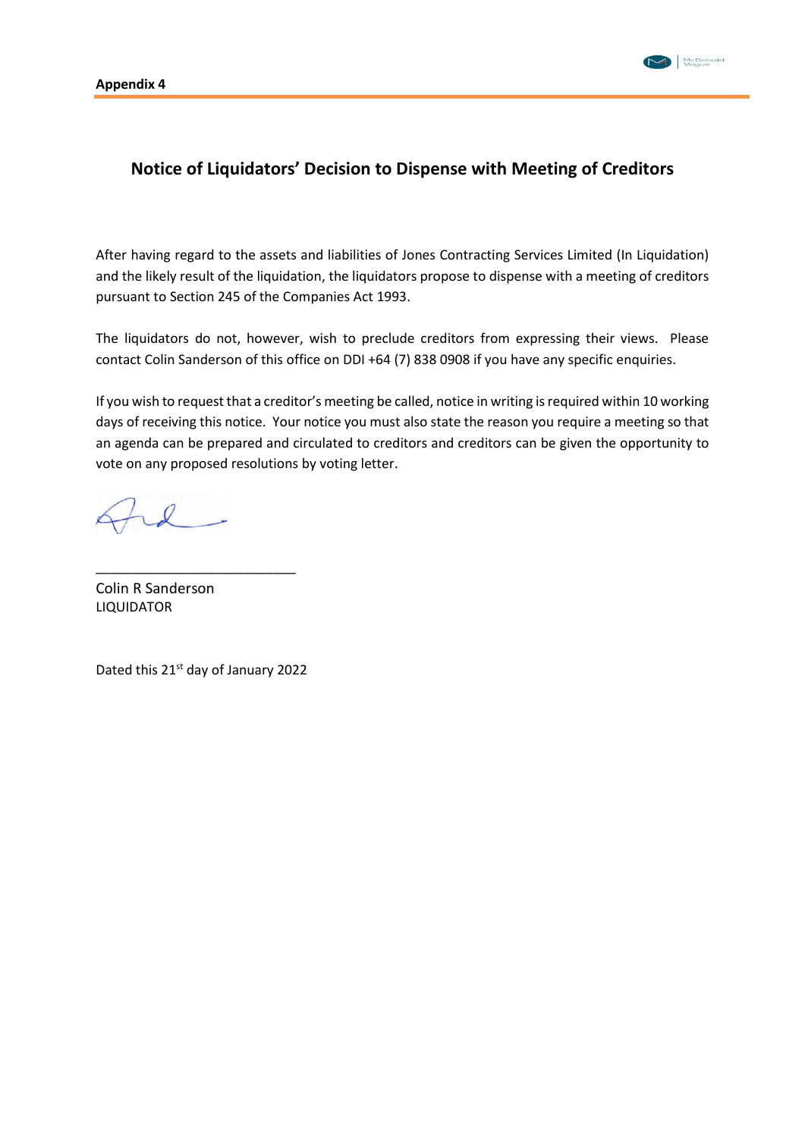

### **Notice of Liquidators' Decision to Dispense with Meeting of Creditors**

After having regard to the assets and liabilities of Jones Contracting Services Limited (In Liquidation) and the likely result of the liquidation, the liquidators propose to dispense with a meeting of creditors pursuant to Section 245 of the Companies Act 1993.

The liquidators do not, however, wish to preclude creditors from expressing their views. Please contact Colin Sanderson of this office on DDI +64 (7) 838 0908 if you have any specific enquiries.

If you wish to request that a creditor's meeting be called, notice in writing is required within 10 working days of receiving this notice. Your notice you must also state the reason you require a meeting so that an agenda can be prepared and circulated to creditors and creditors can be given the opportunity to vote on any proposed resolutions by voting letter.

Colin R Sanderson LIQUIDATOR

Dated this 21<sup>st</sup> day of January 2022

\_\_\_\_\_\_\_\_\_\_\_\_\_\_\_\_\_\_\_\_\_\_\_\_\_\_\_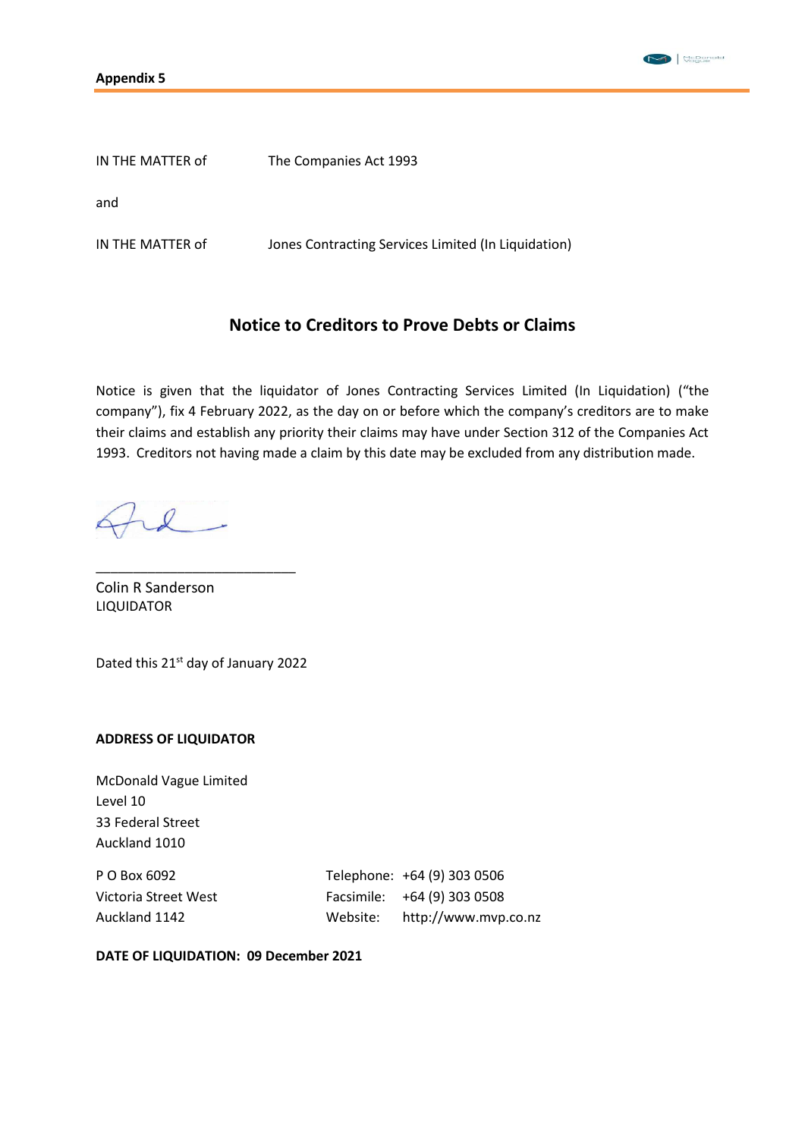

## **Notice to Creditors to Prove Debts or Claims**

Notice is given that the liquidator of Jones Contracting Services Limited (In Liquidation) ("the company"), fix 4 February 2022, as the day on or before which the company's creditors are to make their claims and establish any priority their claims may have under Section 312 of the Companies Act 1993. Creditors not having made a claim by this date may be excluded from any distribution made.

Colin R Sanderson LIQUIDATOR

Dated this 21<sup>st</sup> day of January 2022

\_\_\_\_\_\_\_\_\_\_\_\_\_\_\_\_\_\_\_\_\_\_\_\_\_\_\_

### **ADDRESS OF LIQUIDATOR**

McDonald Vague Limited Level 10 33 Federal Street Auckland 1010

P O Box 6092 Telephone: +64 (9) 303 0506 Victoria Street West Facsimile: +64 (9) 303 0508 Auckland 1142 Website: http://www.mvp.co.nz

**DATE OF LIQUIDATION: 09 December 2021**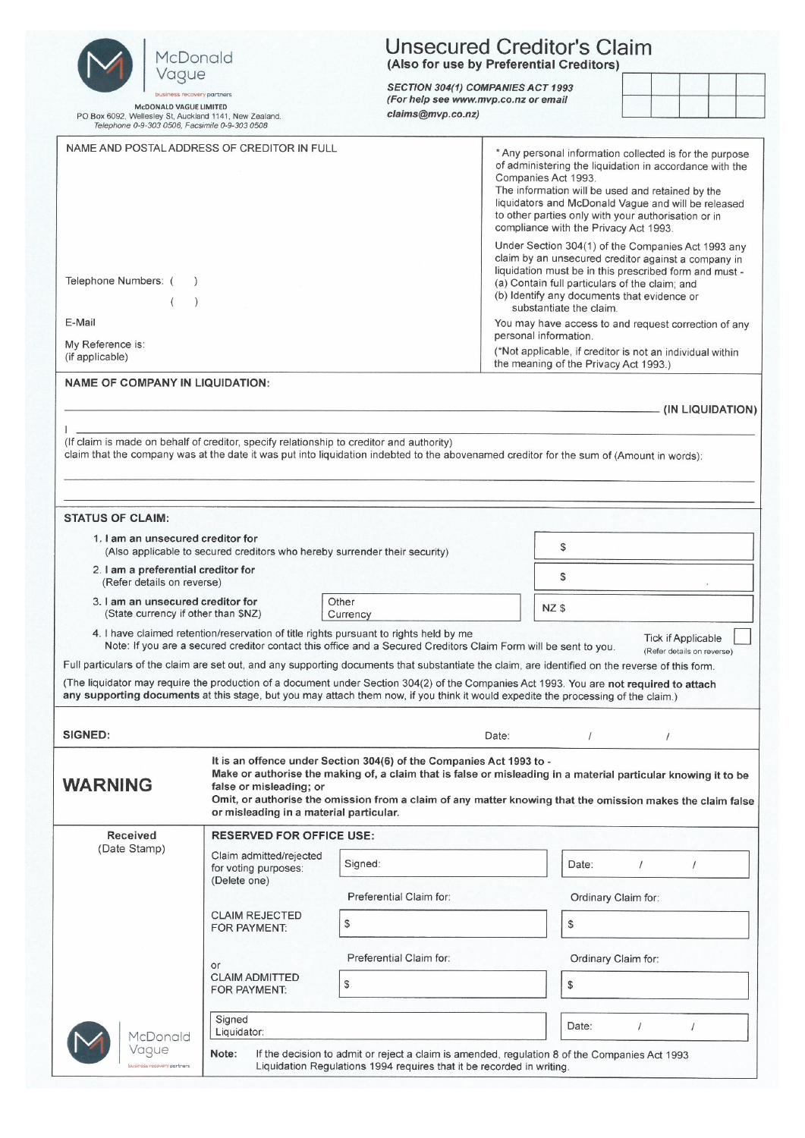| McDonald                                                                                                                                  |                                                                            | <b>Unsecured Creditor's Claim</b><br>(Also for use by Preferential Creditors)                                                                                                                                                                                                                        |                                                                                                                                                                                                                                                                                                                                                                                                                                               |                     |                                                         |                  |  |
|-------------------------------------------------------------------------------------------------------------------------------------------|----------------------------------------------------------------------------|------------------------------------------------------------------------------------------------------------------------------------------------------------------------------------------------------------------------------------------------------------------------------------------------------|-----------------------------------------------------------------------------------------------------------------------------------------------------------------------------------------------------------------------------------------------------------------------------------------------------------------------------------------------------------------------------------------------------------------------------------------------|---------------------|---------------------------------------------------------|------------------|--|
| Vague<br>business recovery partners                                                                                                       |                                                                            | SECTION 304(1) COMPANIES ACT 1993<br>(For help see www.mvp.co.nz or email                                                                                                                                                                                                                            |                                                                                                                                                                                                                                                                                                                                                                                                                                               |                     |                                                         |                  |  |
| <b>McDONALD VAGUE LIMITED</b><br>PO Box 6092, Wellesley St, Auckland 1141, New Zealand.<br>Telephone 0-9-303 0506, Facsimile 0-9-303 0508 |                                                                            | claims@mvp.co.nz)                                                                                                                                                                                                                                                                                    |                                                                                                                                                                                                                                                                                                                                                                                                                                               |                     |                                                         |                  |  |
| NAME AND POSTAL ADDRESS OF CREDITOR IN FULL                                                                                               |                                                                            |                                                                                                                                                                                                                                                                                                      | * Any personal information collected is for the purpose<br>of administering the liquidation in accordance with the<br>Companies Act 1993.<br>The information will be used and retained by the<br>liquidators and McDonald Vague and will be released<br>to other parties only with your authorisation or in<br>compliance with the Privacy Act 1993.                                                                                          |                     |                                                         |                  |  |
| Telephone Numbers: (<br>E-Mail<br>My Reference is:<br>(if applicable)                                                                     |                                                                            |                                                                                                                                                                                                                                                                                                      | Under Section 304(1) of the Companies Act 1993 any<br>claim by an unsecured creditor against a company in<br>liquidation must be in this prescribed form and must -<br>(a) Contain full particulars of the claim; and<br>(b) Identify any documents that evidence or<br>substantiate the claim.<br>You may have access to and request correction of any<br>personal information.<br>(*Not applicable, if creditor is not an individual within |                     |                                                         |                  |  |
| <b>NAME OF COMPANY IN LIQUIDATION:</b>                                                                                                    |                                                                            |                                                                                                                                                                                                                                                                                                      | the meaning of the Privacy Act 1993.)                                                                                                                                                                                                                                                                                                                                                                                                         |                     |                                                         |                  |  |
|                                                                                                                                           |                                                                            |                                                                                                                                                                                                                                                                                                      |                                                                                                                                                                                                                                                                                                                                                                                                                                               |                     |                                                         | (IN LIQUIDATION) |  |
| (If claim is made on behalf of creditor, specify relationship to creditor and authority)                                                  |                                                                            | claim that the company was at the date it was put into liquidation indebted to the abovenamed creditor for the sum of (Amount in words):                                                                                                                                                             |                                                                                                                                                                                                                                                                                                                                                                                                                                               |                     |                                                         |                  |  |
|                                                                                                                                           |                                                                            |                                                                                                                                                                                                                                                                                                      |                                                                                                                                                                                                                                                                                                                                                                                                                                               |                     |                                                         |                  |  |
| <b>STATUS OF CLAIM:</b><br>1. I am an unsecured creditor for                                                                              |                                                                            |                                                                                                                                                                                                                                                                                                      |                                                                                                                                                                                                                                                                                                                                                                                                                                               |                     |                                                         |                  |  |
|                                                                                                                                           | (Also applicable to secured creditors who hereby surrender their security) |                                                                                                                                                                                                                                                                                                      | \$                                                                                                                                                                                                                                                                                                                                                                                                                                            |                     |                                                         |                  |  |
| 2. I am a preferential creditor for<br>(Refer details on reverse)                                                                         |                                                                            |                                                                                                                                                                                                                                                                                                      |                                                                                                                                                                                                                                                                                                                                                                                                                                               | \$                  |                                                         |                  |  |
| 3. I am an unsecured creditor for<br>Other<br>(State currency if other than \$NZ)<br>Currency                                             |                                                                            |                                                                                                                                                                                                                                                                                                      | NZ \$                                                                                                                                                                                                                                                                                                                                                                                                                                         |                     |                                                         |                  |  |
|                                                                                                                                           |                                                                            | 4. I have claimed retention/reservation of title rights pursuant to rights held by me<br>Note: If you are a secured creditor contact this office and a Secured Creditors Claim Form will be sent to you.                                                                                             |                                                                                                                                                                                                                                                                                                                                                                                                                                               |                     | <b>Tick if Applicable</b><br>(Refer details on reverse) |                  |  |
|                                                                                                                                           |                                                                            | Full particulars of the claim are set out, and any supporting documents that substantiate the claim, are identified on the reverse of this form.                                                                                                                                                     |                                                                                                                                                                                                                                                                                                                                                                                                                                               |                     |                                                         |                  |  |
|                                                                                                                                           |                                                                            | (The liquidator may require the production of a document under Section 304(2) of the Companies Act 1993. You are not required to attach<br>any supporting documents at this stage, but you may attach them now, if you think it would expedite the processing of the claim.)                         |                                                                                                                                                                                                                                                                                                                                                                                                                                               |                     |                                                         |                  |  |
|                                                                                                                                           |                                                                            |                                                                                                                                                                                                                                                                                                      |                                                                                                                                                                                                                                                                                                                                                                                                                                               |                     |                                                         |                  |  |
| <b>SIGNED:</b>                                                                                                                            |                                                                            |                                                                                                                                                                                                                                                                                                      | Date:<br>$\prime$                                                                                                                                                                                                                                                                                                                                                                                                                             | $\prime$            |                                                         |                  |  |
| <b>WARNING</b>                                                                                                                            | false or misleading; or<br>or misleading in a material particular.         | It is an offence under Section 304(6) of the Companies Act 1993 to -<br>Make or authorise the making of, a claim that is false or misleading in a material particular knowing it to be<br>Omit, or authorise the omission from a claim of any matter knowing that the omission makes the claim false |                                                                                                                                                                                                                                                                                                                                                                                                                                               |                     |                                                         |                  |  |
| <b>Received</b><br>(Date Stamp)                                                                                                           | <b>RESERVED FOR OFFICE USE:</b>                                            |                                                                                                                                                                                                                                                                                                      |                                                                                                                                                                                                                                                                                                                                                                                                                                               |                     |                                                         |                  |  |
|                                                                                                                                           | Claim admitted/rejected<br>for voting purposes:<br>(Delete one)            | Signed:                                                                                                                                                                                                                                                                                              | Date:                                                                                                                                                                                                                                                                                                                                                                                                                                         |                     |                                                         |                  |  |
|                                                                                                                                           |                                                                            | Preferential Claim for:                                                                                                                                                                                                                                                                              |                                                                                                                                                                                                                                                                                                                                                                                                                                               | Ordinary Claim for: |                                                         |                  |  |
|                                                                                                                                           | <b>CLAIM REJECTED</b><br>FOR PAYMENT:                                      | \$                                                                                                                                                                                                                                                                                                   | $\mathcal{S}$                                                                                                                                                                                                                                                                                                                                                                                                                                 |                     |                                                         |                  |  |
|                                                                                                                                           |                                                                            | Preferential Claim for:                                                                                                                                                                                                                                                                              |                                                                                                                                                                                                                                                                                                                                                                                                                                               | Ordinary Claim for: |                                                         |                  |  |
|                                                                                                                                           | or<br><b>CLAIM ADMITTED</b><br>FOR PAYMENT:                                | \$                                                                                                                                                                                                                                                                                                   | \$                                                                                                                                                                                                                                                                                                                                                                                                                                            |                     |                                                         |                  |  |
| McDonald                                                                                                                                  | Signed<br>Liquidator:                                                      |                                                                                                                                                                                                                                                                                                      | Date:                                                                                                                                                                                                                                                                                                                                                                                                                                         | $\prime$            |                                                         |                  |  |
| Vague<br>business recovery partners                                                                                                       | Note:                                                                      | If the decision to admit or reject a claim is amended, regulation 8 of the Companies Act 1993<br>Liquidation Regulations 1994 requires that it be recorded in writing.                                                                                                                               |                                                                                                                                                                                                                                                                                                                                                                                                                                               |                     |                                                         |                  |  |